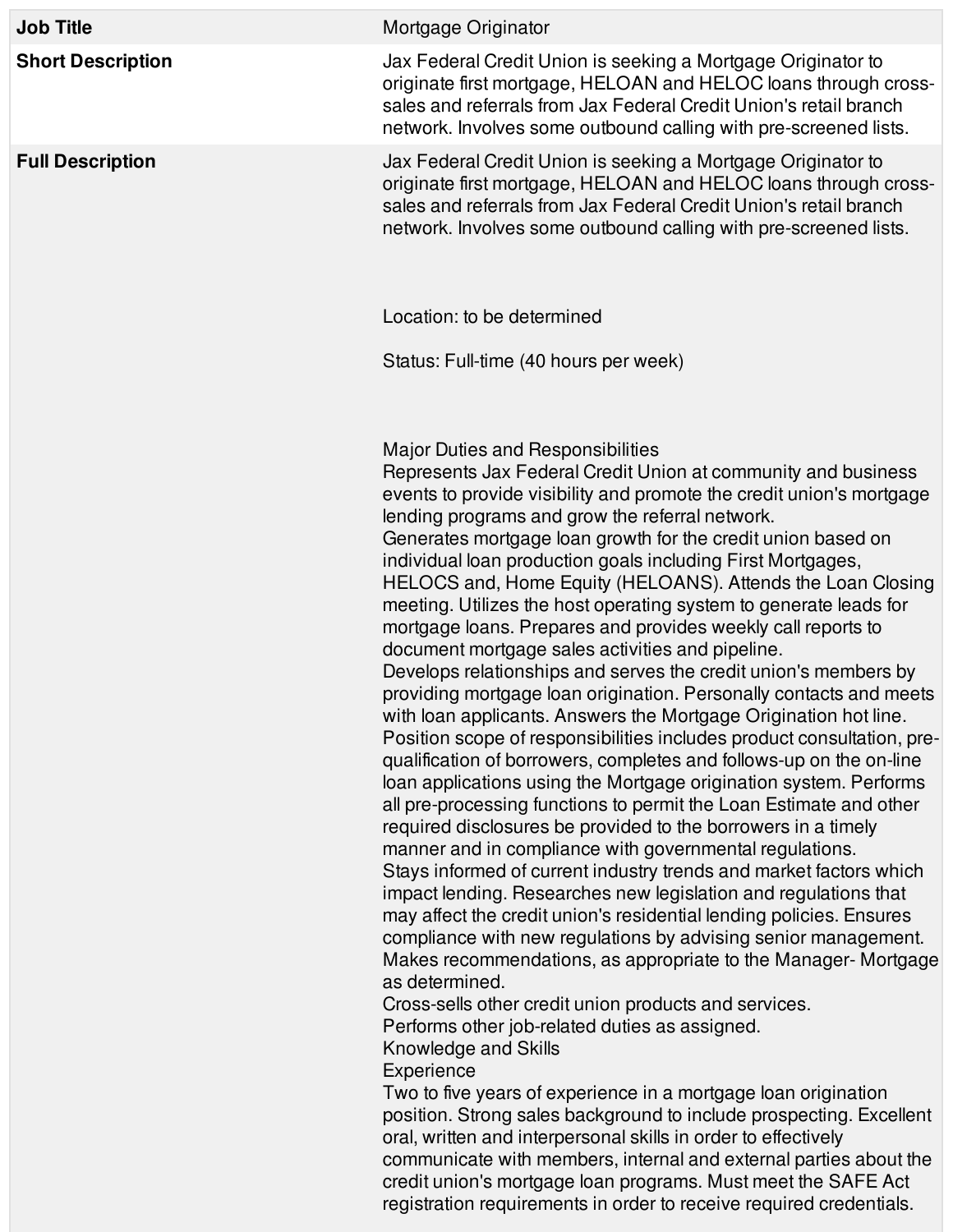| <b>Job Title</b>         | Mortgage Originator                                                                                                                                                                                                                                                                                                                                                                                                                                                                                                                                                                                                                                                                                                                                                                                                                                                                                                                                                                                                                                                                                                                                                                                                                                                                                                                                                                                                                                                                                                                                                                                                                                                                                                                                                                                                                                                                                                                                                                                                                                                                                                                                                                                     |
|--------------------------|---------------------------------------------------------------------------------------------------------------------------------------------------------------------------------------------------------------------------------------------------------------------------------------------------------------------------------------------------------------------------------------------------------------------------------------------------------------------------------------------------------------------------------------------------------------------------------------------------------------------------------------------------------------------------------------------------------------------------------------------------------------------------------------------------------------------------------------------------------------------------------------------------------------------------------------------------------------------------------------------------------------------------------------------------------------------------------------------------------------------------------------------------------------------------------------------------------------------------------------------------------------------------------------------------------------------------------------------------------------------------------------------------------------------------------------------------------------------------------------------------------------------------------------------------------------------------------------------------------------------------------------------------------------------------------------------------------------------------------------------------------------------------------------------------------------------------------------------------------------------------------------------------------------------------------------------------------------------------------------------------------------------------------------------------------------------------------------------------------------------------------------------------------------------------------------------------------|
| <b>Short Description</b> | Jax Federal Credit Union is seeking a Mortgage Originator to<br>originate first mortgage, HELOAN and HELOC loans through cross-<br>sales and referrals from Jax Federal Credit Union's retail branch<br>network. Involves some outbound calling with pre-screened lists.                                                                                                                                                                                                                                                                                                                                                                                                                                                                                                                                                                                                                                                                                                                                                                                                                                                                                                                                                                                                                                                                                                                                                                                                                                                                                                                                                                                                                                                                                                                                                                                                                                                                                                                                                                                                                                                                                                                                |
| <b>Full Description</b>  | Jax Federal Credit Union is seeking a Mortgage Originator to<br>originate first mortgage, HELOAN and HELOC loans through cross-<br>sales and referrals from Jax Federal Credit Union's retail branch<br>network. Involves some outbound calling with pre-screened lists.                                                                                                                                                                                                                                                                                                                                                                                                                                                                                                                                                                                                                                                                                                                                                                                                                                                                                                                                                                                                                                                                                                                                                                                                                                                                                                                                                                                                                                                                                                                                                                                                                                                                                                                                                                                                                                                                                                                                |
|                          | Location: to be determined                                                                                                                                                                                                                                                                                                                                                                                                                                                                                                                                                                                                                                                                                                                                                                                                                                                                                                                                                                                                                                                                                                                                                                                                                                                                                                                                                                                                                                                                                                                                                                                                                                                                                                                                                                                                                                                                                                                                                                                                                                                                                                                                                                              |
|                          | Status: Full-time (40 hours per week)                                                                                                                                                                                                                                                                                                                                                                                                                                                                                                                                                                                                                                                                                                                                                                                                                                                                                                                                                                                                                                                                                                                                                                                                                                                                                                                                                                                                                                                                                                                                                                                                                                                                                                                                                                                                                                                                                                                                                                                                                                                                                                                                                                   |
|                          | Major Duties and Responsibilities<br>Represents Jax Federal Credit Union at community and business<br>events to provide visibility and promote the credit union's mortgage<br>lending programs and grow the referral network.<br>Generates mortgage loan growth for the credit union based on<br>individual loan production goals including First Mortgages,<br>HELOCS and, Home Equity (HELOANS). Attends the Loan Closing<br>meeting. Utilizes the host operating system to generate leads for<br>mortgage loans. Prepares and provides weekly call reports to<br>document mortgage sales activities and pipeline.<br>Develops relationships and serves the credit union's members by<br>providing mortgage loan origination. Personally contacts and meets<br>with loan applicants. Answers the Mortgage Origination hot line.<br>Position scope of responsibilities includes product consultation, pre-<br>qualification of borrowers, completes and follows-up on the on-line<br>loan applications using the Mortgage origination system. Performs<br>all pre-processing functions to permit the Loan Estimate and other<br>required disclosures be provided to the borrowers in a timely<br>manner and in compliance with governmental regulations.<br>Stays informed of current industry trends and market factors which<br>impact lending. Researches new legislation and regulations that<br>may affect the credit union's residential lending policies. Ensures<br>compliance with new regulations by advising senior management.<br>Makes recommendations, as appropriate to the Manager-Mortgage<br>as determined.<br>Cross-sells other credit union products and services.<br>Performs other job-related duties as assigned.<br>Knowledge and Skills<br>Experience<br>Two to five years of experience in a mortgage loan origination<br>position. Strong sales background to include prospecting. Excellent<br>oral, written and interpersonal skills in order to effectively<br>communicate with members, internal and external parties about the<br>credit union's mortgage loan programs. Must meet the SAFE Act<br>registration requirements in order to receive required credentials. |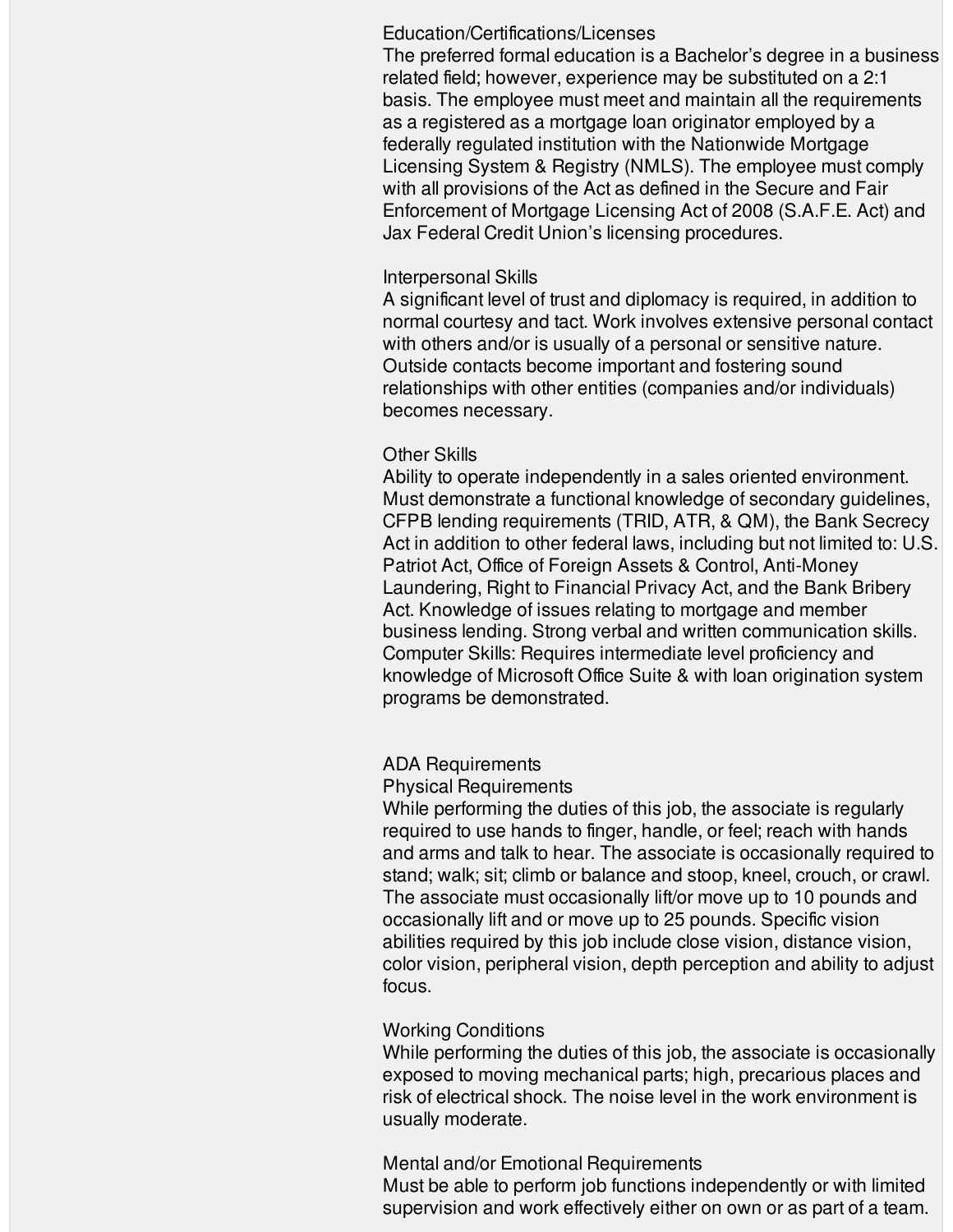#### Education/Certifications/Licenses

The preferred formal education is a Bachelor's degree in a business related field; however, experience may be substituted on a 2:1 basis. The employee must meet and maintain all the requirements as a registered as a mortgage loan originator employed by a federally regulated institution with the Nationwide Mortgage Licensing System & Registry (NMLS). The employee must comply with all provisions of the Act as defined in the Secure and Fair Enforcement of Mortgage Licensing Act of 2008 (S.A.F.E. Act) and Jax Federal Credit Union's licensing procedures.

### Interpersonal Skills

A significant level of trust and diplomacy is required, in addition to normal courtesy and tact. Work involves extensive personal contact with others and/or is usually of a personal or sensitive nature. Outside contacts become important and fostering sound relationships with other entities (companies and/or individuals) becomes necessary.

## Other Skills

Ability to operate independently in a sales oriented environment. Must demonstrate a functional knowledge of secondary guidelines, CFPB lending requirements (TRID, ATR, & QM), the Bank Secrecy Act in addition to other federal laws, including but not limited to: U.S. Patriot Act, Office of Foreign Assets & Control, Anti-Money Laundering, Right to Financial Privacy Act, and the Bank Bribery Act. Knowledge of issues relating to mortgage and member business lending. Strong verbal and written communication skills. Computer Skills: Requires intermediate level proficiency and knowledge of Microsoft Office Suite & with loan origination system programs be demonstrated.

# ADA Requirements

## Physical Requirements

While performing the duties of this job, the associate is regularly required to use hands to finger, handle, or feel; reach with hands and arms and talk to hear. The associate is occasionally required to stand; walk; sit; climb or balance and stoop, kneel, crouch, or crawl. The associate must occasionally lift/or move up to 10 pounds and occasionally lift and or move up to 25 pounds. Specific vision abilities required by this job include close vision, distance vision, color vision, peripheral vision, depth perception and ability to adjust focus.

## Working Conditions

While performing the duties of this job, the associate is occasionally exposed to moving mechanical parts; high, precarious places and risk of electrical shock. The noise level in the work environment is usually moderate.

## Mental and/or Emotional Requirements

Must be able to perform job functions independently or with limited supervision and work effectively either on own or as part of a team.